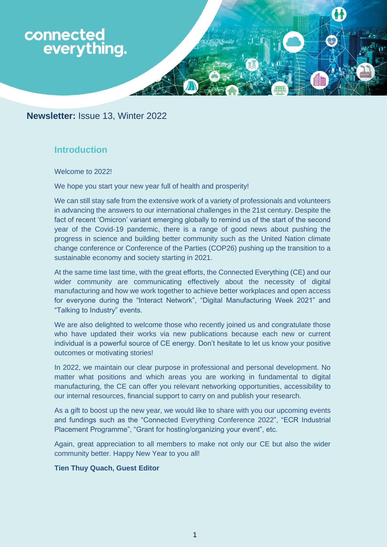

**Newsletter:** Issue 13, Winter 2022

# **Introduction**

Welcome to 2022!

We hope you start your new year full of health and prosperity!

We can still stay safe from the extensive work of a variety of professionals and volunteers in advancing the answers to our international challenges in the 21st century. Despite the fact of recent 'Omicron' variant emerging globally to remind us of the start of the second year of the Covid-19 pandemic, there is a range of good news about pushing the progress in science and building better community such as the United Nation climate change conference or Conference of the Parties (COP26) pushing up the transition to a sustainable economy and society starting in 2021.

At the same time last time, with the great efforts, the Connected Everything (CE) and our wider community are communicating effectively about the necessity of digital manufacturing and how we work together to achieve better workplaces and open access for everyone during the "Interact Network", "Digital Manufacturing Week 2021" and "Talking to Industry" events.

We are also delighted to welcome those who recently joined us and congratulate those who have updated their works via new publications because each new or current individual is a powerful source of CE energy. Don't hesitate to let us know your positive outcomes or motivating stories!

In 2022, we maintain our clear purpose in professional and personal development. No matter what positions and which areas you are working in fundamental to digital manufacturing, the CE can offer you relevant networking opportunities, accessibility to our internal resources, financial support to carry on and publish your research.

As a gift to boost up the new year, we would like to share with you our upcoming events and fundings such as the "Connected Everything Conference 2022", "ECR Industrial Placement Programme", "Grant for hosting/organizing your event", etc.

Again, great appreciation to all members to make not only our CE but also the wider community better. Happy New Year to you all!

#### **Tien Thuy Quach, Guest Editor**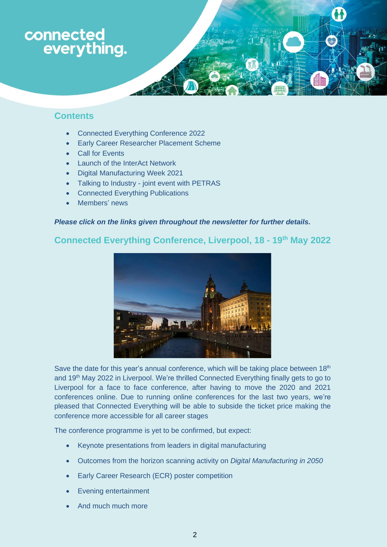# connected everything.

## **Contents**

- Connected Everything Conference 2022
- Early Career Researcher Placement Scheme
- **Call for Events**
- Launch of the InterAct Network
- Digital Manufacturing Week 2021
- Talking to Industry joint event with PETRAS
- Connected Everything Publications
- Members' news

## *Please click on the links given throughout the newsletter for further details.*

# **Connected Everything Conference, Liverpool, 18 - 19th May 2022**



Save the date for this year's annual conference, which will be taking place between  $18<sup>th</sup>$ and 19<sup>th</sup> May 2022 in Liverpool. We're thrilled Connected Everything finally gets to go to Liverpool for a face to face conference, after having to move the 2020 and 2021 conferences online. Due to running online conferences for the last two years, we're pleased that Connected Everything will be able to subside the ticket price making the conference more accessible for all career stages

The conference programme is yet to be confirmed, but expect:

- Keynote presentations from leaders in digital manufacturing
- Outcomes from the horizon scanning activity on *Digital Manufacturing in 2050*
- Early Career Research (ECR) poster competition
- Evening entertainment
- And much much more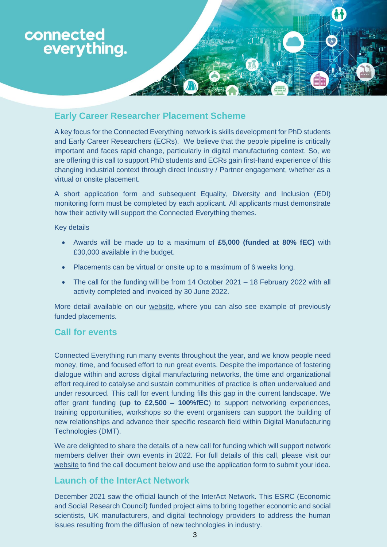

# **Early Career Researcher Placement Scheme**

A key focus for the Connected Everything network is skills development for PhD students and Early Career Researchers (ECRs). We believe that the people pipeline is critically important and faces rapid change, particularly in digital manufacturing context. So, we are offering this call to support PhD students and ECRs gain first-hand experience of this changing industrial context through direct Industry / Partner engagement, whether as a virtual or onsite placement.

A short application form and subsequent Equality, Diversity and Inclusion (EDI) monitoring form must be completed by each applicant. All applicants must demonstrate how their activity will support the Connected Everything themes.

#### Key details

- Awards will be made up to a maximum of **£5,000 (funded at 80% fEC)** with £30,000 available in the budget.
- Placements can be virtual or onsite up to a maximum of 6 weeks long.
- The call for the funding will be from 14 October 2021 18 February 2022 with all activity completed and invoiced by 30 June 2022.

More detail available on our [website](https://connectedeverything.ac.uk/early-career-researcher-placement-scheme-2/), where you can also see example of previously funded placements.

## **Call for events**

Connected Everything run many events throughout the year, and we know people need money, time, and focused effort to run great events. Despite the importance of fostering dialogue within and across digital manufacturing networks, the time and organizational effort required to catalyse and sustain communities of practice is often undervalued and under resourced. This call for event funding fills this gap in the current landscape. We offer grant funding (**up to £2,500 – 100%fEC**) to support networking experiences, training opportunities, workshops so the event organisers can support the building of new relationships and advance their specific research field within Digital Manufacturing Technologies (DMT).

We are delighted to share the details of a new call for funding which will support network members deliver their own events in 2022. For full details of this call, please visit our [website](https://connectedeverything.ac.uk/activities/events/) to find the call document below and use the application form to submit your idea.

## **Launch of the InterAct Network**

December 2021 saw the official launch of the InterAct Network. This ESRC (Economic and Social Research Council) funded project aims to bring together economic and social scientists, UK manufacturers, and digital technology providers to address the human issues resulting from the diffusion of new technologies in industry.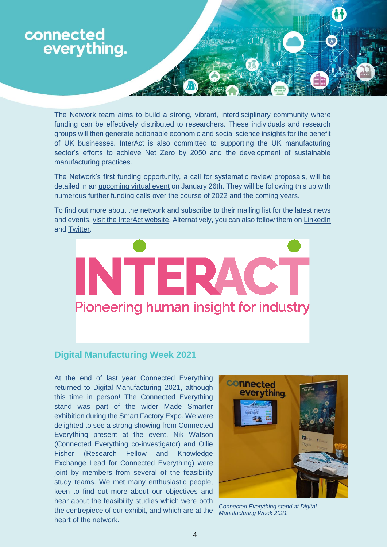

The Network team aims to build a strong, vibrant, interdisciplinary community where funding can be effectively distributed to researchers. These individuals and research groups will then generate actionable economic and social science insights for the benefit of UK businesses. InterAct is also committed to supporting the UK manufacturing sector's efforts to achieve Net Zero by 2050 and the development of sustainable manufacturing practices.

The Network's first funding opportunity, a call for systematic review proposals, will be detailed in an [upcoming virtual event](https://www.eventbrite.co.uk/e/interact-network-systematic-reviews-funding-call-tickets-243111953397?aff=ConnectedEverything) on January 26th. They will be following this up with numerous further funding calls over the course of 2022 and the coming years.

To find out more about the network and subscribe to their mailing list for the latest news and events[, visit the InterAct website.](https://interact-hub.org/) Alternatively, you can also follow them on [LinkedIn](https://www.linkedin.com/company/interact-network-plus/) and [Twitter.](https://twitter.com/interact_hub)



## **Digital Manufacturing Week 2021**

At the end of last year Connected Everything returned to Digital Manufacturing 2021, although this time in person! The Connected Everything stand was part of the wider Made Smarter exhibition during the Smart Factory Expo. We were delighted to see a strong showing from Connected Everything present at the event. Nik Watson (Connected Everything co-investigator) and Ollie Fisher (Research Fellow and Knowledge Exchange Lead for Connected Everything) were joint by members from several of the feasibility study teams. We met many enthusiastic people, keen to find out more about our objectives and hear about the feasibility studies which were both the centrepiece of our exhibit, and which are at the heart of the network.



*Connected Everything stand at Digital Manufacturing Week 2021*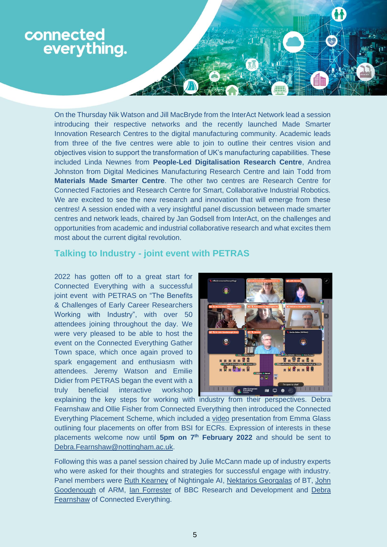

On the Thursday Nik Watson and Jill MacBryde from the InterAct Network lead a session introducing their respective networks and the recently launched Made Smarter Innovation Research Centres to the digital manufacturing community. Academic leads from three of the five centres were able to join to outline their centres vision and objectives vision to support the transformation of UK's manufacturing capabilities. These included Linda Newnes from **People-Led Digitalisation Research Centre**, Andrea Johnston from Digital Medicines Manufacturing Research Centre and Iain Todd from **Materials Made Smarter Centre**. The other two centres are Research Centre for Connected Factories and Research Centre for Smart, Collaborative Industrial Robotics. We are excited to see the new research and innovation that will emerge from these centres! A session ended with a very insightful panel discussion between made smarter centres and network leads, chaired by Jan Godsell from InterAct, on the challenges and opportunities from academic and industrial collaborative research and what excites them most about the current digital revolution.

## **Talking to Industry - joint event with PETRAS**

2022 has gotten off to a great start for Connected Everything with a successful joint event with PETRAS on "The Benefits & Challenges of Early Career Researchers Working with Industry", with over 50 attendees joining throughout the day. We were very pleased to be able to host the event on the Connected Everything Gather Town space, which once again proved to spark engagement and enthusiasm with attendees. Jeremy Watson and Emilie Didier from PETRAS began the event with a truly beneficial interactive workshop



explaining the key steps for working with industry from their perspectives. Debra Fearnshaw and Ollie Fisher from Connected Everything then introduced the Connected Everything Placement Scheme, which included a [video](https://www.youtube.com/watch?v=vbIVe6R5KbQ) presentation from Emma Glass outlining four placements on offer from BSI for ECRs. Expression of interests in these placements welcome now until **5pm on 7th February 2022** and should be sent to [Debra.Fearnshaw@nottingham.ac.uk.](mailto:Debra.Fearnshaw@nottingham.ac.uk)

Following this was a panel session chaired by Julie McCann made up of industry experts who were asked for their thoughts and strategies for successful engage with industry. Panel members were [Ruth Kearney](https://www.linkedin.com/in/ruthkearney/?originalSubdomain=ie) of Nightingale AI, [Nektarios Georgalas](https://www.linkedin.com/in/nektarios-georgalas-090a7a/?originalSubdomain=uk) of BT, [John](https://www.linkedin.com/in/john-goodenough-5513ab/)  [Goodenough](https://www.linkedin.com/in/john-goodenough-5513ab/) of ARM, [Ian Forrester](https://www.linkedin.com/in/cubicgarden/?originalSubdomain=uk) of BBC Research and Development and [Debra](https://www.linkedin.com/in/debra-fearnshaw-8111a6b/)  [Fearnshaw](https://www.linkedin.com/in/debra-fearnshaw-8111a6b/) of Connected Everything.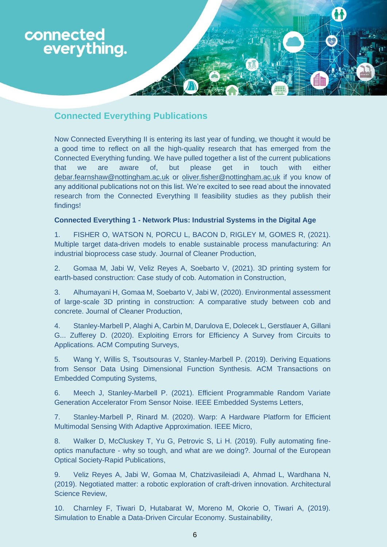

# **Connected Everything Publications**

Now Connected Everything II is entering its last year of funding, we thought it would be a good time to reflect on all the high-quality research that has emerged from the Connected Everything funding. We have pulled together a list of the current publications that we are aware of, but please get in touch with either [debar.fearnshaw@nottingham.ac.uk](mailto:debar.fearnshaw@nottingham.ac.uk) or [oliver.fisher@nottingham.ac.uk](mailto:oliver.fisher@nottingham.ac.uk) if you know of any additional publications not on this list. We're excited to see read about the innovated research from the Connected Everything II feasibility studies as they publish their findings!

#### **Connected Everything 1 - Network Plus: Industrial Systems in the Digital Age**

1. FISHER O, WATSON N, PORCU L, BACON D, RIGLEY M, GOMES R, (2021). Multiple target data-driven models to enable sustainable process manufacturing: An industrial bioprocess case study. Journal of Cleaner Production,

2. Gomaa M, Jabi W, Veliz Reyes A, Soebarto V, (2021). 3D printing system for earth-based construction: Case study of cob. Automation in Construction,

3. Alhumayani H, Gomaa M, Soebarto V, Jabi W, (2020). Environmental assessment of large-scale 3D printing in construction: A comparative study between cob and concrete. Journal of Cleaner Production,

4. Stanley-Marbell P, Alaghi A, Carbin M, Darulova E, Dolecek L, Gerstlauer A, Gillani G... Zufferey D. (2020). Exploiting Errors for Efficiency A Survey from Circuits to Applications. ACM Computing Surveys,

5. Wang Y, Willis S, Tsoutsouras V, Stanley-Marbell P. (2019). Deriving Equations from Sensor Data Using Dimensional Function Synthesis. ACM Transactions on Embedded Computing Systems,

6. Meech J, Stanley-Marbell P. (2021). Efficient Programmable Random Variate Generation Accelerator From Sensor Noise. IEEE Embedded Systems Letters,

7. Stanley-Marbell P, Rinard M. (2020). Warp: A Hardware Platform for Efficient Multimodal Sensing With Adaptive Approximation. IEEE Micro,

8. Walker D, McCluskey T, Yu G, Petrovic S, Li H. (2019). Fully automating fineoptics manufacture - why so tough, and what are we doing?. Journal of the European Optical Society-Rapid Publications,

9. Veliz Reyes A, Jabi W, Gomaa M, Chatzivasileiadi A, Ahmad L, Wardhana N, (2019). Negotiated matter: a robotic exploration of craft-driven innovation. Architectural Science Review,

10. Charnley F, Tiwari D, Hutabarat W, Moreno M, Okorie O, Tiwari A, (2019). Simulation to Enable a Data-Driven Circular Economy. Sustainability,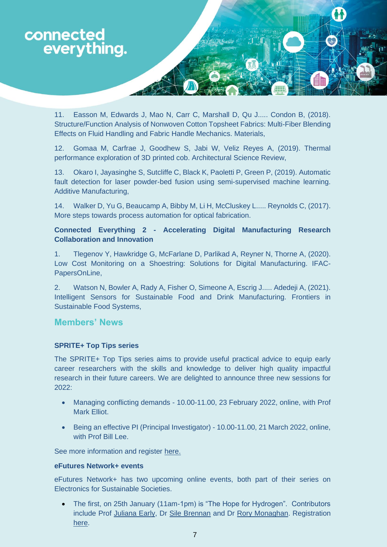

11. Easson M, Edwards J, Mao N, Carr C, Marshall D, Qu J..... Condon B, (2018). Structure/Function Analysis of Nonwoven Cotton Topsheet Fabrics: Multi-Fiber Blending Effects on Fluid Handling and Fabric Handle Mechanics. Materials,

12. Gomaa M, Carfrae J, Goodhew S, Jabi W, Veliz Reyes A, (2019). Thermal performance exploration of 3D printed cob. Architectural Science Review,

13. Okaro I, Jayasinghe S, Sutcliffe C, Black K, Paoletti P, Green P, (2019). Automatic fault detection for laser powder-bed fusion using semi-supervised machine learning. Additive Manufacturing,

14. Walker D, Yu G, Beaucamp A, Bibby M, Li H, McCluskey L..... Reynolds C, (2017). More steps towards process automation for optical fabrication.

## **Connected Everything 2 - Accelerating Digital Manufacturing Research Collaboration and Innovation**

1. Tlegenov Y, Hawkridge G, McFarlane D, Parlikad A, Reyner N, Thorne A, (2020). Low Cost Monitoring on a Shoestring: Solutions for Digital Manufacturing. IFAC-PapersOnLine,

2. Watson N, Bowler A, Rady A, Fisher O, Simeone A, Escrig J..... Adedeji A, (2021). Intelligent Sensors for Sustainable Food and Drink Manufacturing. Frontiers in Sustainable Food Systems,

## **Members' News**

#### **SPRITE+ Top Tips series**

The SPRITE+ Top Tips series aims to provide useful practical advice to equip early career researchers with the skills and knowledge to deliver high quality impactful research in their future careers. We are delighted to announce three new sessions for 2022:

- Managing conflicting demands 10.00-11.00, 23 February 2022, online, with Prof Mark Elliot.
- Being an effective PI (Principal Investigator) 10.00-11.00, 21 March 2022, online, with Prof Bill Lee.

See more information and register [here.](https://spritehub.org/2021/11/30/registration-open-sprite-top-tips-series/)

## **eFutures Network+ events**

[eFutures Network+](https://efutures2.com/) has two upcoming online events, both part of their series on Electronics for Sustainable Societies.

• The first, on 25th January (11am-1pm) is "The Hope for Hydrogen". Contributors include Prof [Juliana Early,](https://pure.qub.ac.uk/en/persons/juliana-early) Dr [Sile Brennan](https://www.ulster.ac.uk/staff/sl-brennan) and Dr [Rory Monaghan.](https://www.marei.ie/people/rory-monaghan/) Registration [here.](https://www.eventbrite.co.uk/e/the-hope-for-hydrogen-tickets-216875048107)